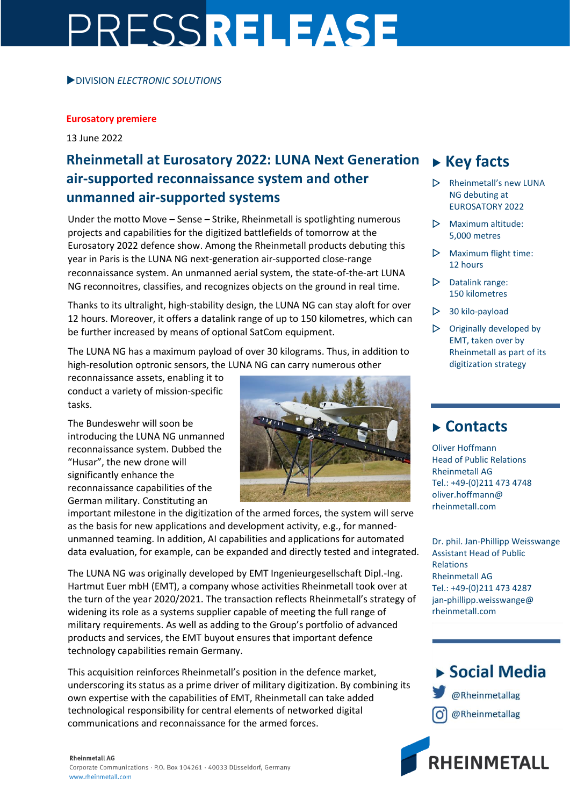# PRESSRELEASE

#### DIVISION *ELECTRONIC SOLUTIONS*

#### **Eurosatory premiere**

13 June 2022

## **Rheinmetall at Eurosatory 2022: LUNA Next Generation air-supported reconnaissance system and other unmanned air-supported systems**

Under the motto Move – Sense – Strike, Rheinmetall is spotlighting numerous projects and capabilities for the digitized battlefields of tomorrow at the Eurosatory 2022 defence show. Among the Rheinmetall products debuting this year in Paris is the LUNA NG next-generation air-supported close-range reconnaissance system. An unmanned aerial system, the state-of-the-art LUNA NG reconnoitres, classifies, and recognizes objects on the ground in real time.

Thanks to its ultralight, high-stability design, the LUNA NG can stay aloft for over 12 hours. Moreover, it offers a datalink range of up to 150 kilometres, which can be further increased by means of optional SatCom equipment.

The LUNA NG has a maximum payload of over 30 kilograms. Thus, in addition to high-resolution optronic sensors, the LUNA NG can carry numerous other

reconnaissance assets, enabling it to conduct a variety of mission-specific tasks.

The Bundeswehr will soon be introducing the LUNA NG unmanned reconnaissance system. Dubbed the "Husar", the new drone will significantly enhance the reconnaissance capabilities of the German military. Constituting an



important milestone in the digitization of the armed forces, the system will serve as the basis for new applications and development activity, e.g., for mannedunmanned teaming. In addition, AI capabilities and applications for automated data evaluation, for example, can be expanded and directly tested and integrated.

The LUNA NG was originally developed by EMT Ingenieurgesellschaft Dipl.-Ing. Hartmut Euer mbH (EMT), a company whose activities Rheinmetall took over at the turn of the year 2020/2021. The transaction reflects Rheinmetall's strategy of widening its role as a systems supplier capable of meeting the full range of military requirements. As well as adding to the Group's portfolio of advanced products and services, the EMT buyout ensures that important defence technology capabilities remain Germany.

This acquisition reinforces Rheinmetall's position in the defence market, underscoring its status as a prime driver of military digitization. By combining its own expertise with the capabilities of EMT, Rheinmetall can take added technological responsibility for central elements of networked digital communications and reconnaissance for the armed forces.

#### **Rheinmetall AG**

Corporate Communications · P.O. Box 104261 · 40033 Düsseldorf, Germany www.rheinmetall.com

## **Key facts**

- $\triangleright$  Rheinmetall's new LUNA NG debuting at EUROSATORY 2022
- $\triangleright$  Maximum altitude: 5,000 metres
- $\triangleright$  Maximum flight time: 12 hours
- $\triangleright$  Datalink range: 150 kilometres
- $\triangleright$  30 kilo-payload
- $\triangleright$  Originally developed by EMT, taken over by Rheinmetall as part of its digitization strategy

### **Contacts**

Oliver Hoffmann Head of Public Relations Rheinmetall AG Tel.: +49-(0)211 473 4748 oliver.hoffmann@ rheinmetall.com

Dr. phil. Jan-Phillipp Weisswange Assistant Head of Public Relations Rheinmetall AG Tel.: +49-(0)211 473 4287 jan-phillipp.weisswange@ rheinmetall.com